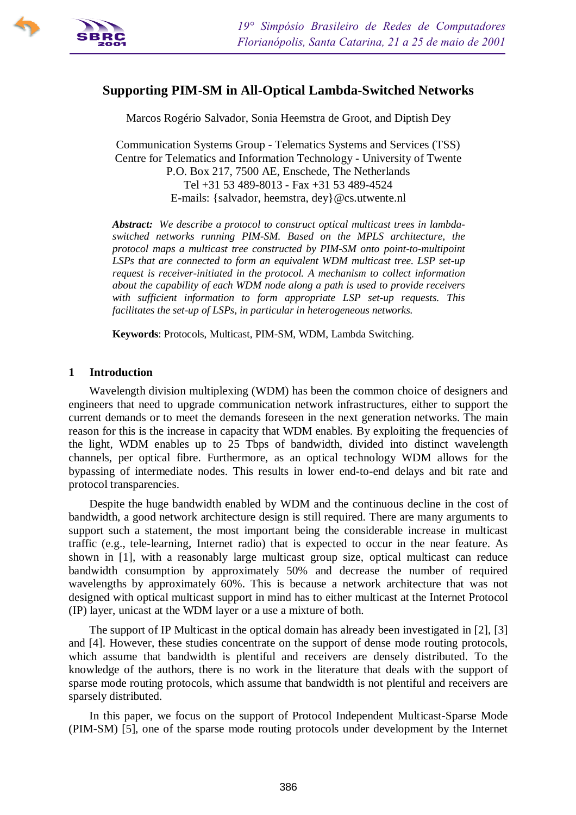

# **Supporting PIM-SM in All-Optical Lambda-Switched Networks**

Marcos Rogério Salvador, Sonia Heemstra de Groot, and Diptish Dey

Communication Systems Group - Telematics Systems and Services (TSS) Centre for Telematics and Information Technology - University of Twente P.O. Box 217, 7500 AE, Enschede, The Netherlands Tel +31 53 489-8013 - Fax +31 53 489-4524 E-mails: {salvador, heemstra, dey}@cs.utwente.nl

*Abstract: We describe a protocol to construct optical multicast trees in lambdaswitched networks running PIM-SM. Based on the MPLS architecture, the protocol maps a multicast tree constructed by PIM-SM onto point-to-multipoint LSPs that are connected to form an equivalent WDM multicast tree. LSP set-up request is receiver-initiated in the protocol. A mechanism to collect information about the capability of each WDM node along a path is used to provide receivers with sufficient information to form appropriate LSP set-up requests. This facilitates the set-up of LSPs, in particular in heterogeneous networks.*

**Keywords**: Protocols, Multicast, PIM-SM, WDM, Lambda Switching.

#### **1 Introduction**

Wavelength division multiplexing (WDM) has been the common choice of designers and engineers that need to upgrade communication network infrastructures, either to support the current demands or to meet the demands foreseen in the next generation networks. The main reason for this is the increase in capacity that WDM enables. By exploiting the frequencies of the light, WDM enables up to 25 Tbps of bandwidth, divided into distinct wavelength channels, per optical fibre. Furthermore, as an optical technology WDM allows for the bypassing of intermediate nodes. This results in lower end-to-end delays and bit rate and protocol transparencies.

Despite the huge bandwidth enabled by WDM and the continuous decline in the cost of bandwidth, a good network architecture design is still required. There are many arguments to support such a statement, the most important being the considerable increase in multicast traffic (e.g., tele-learning, Internet radio) that is expected to occur in the near feature. As shown in [1], with a reasonably large multicast group size, optical multicast can reduce bandwidth consumption by approximately 50% and decrease the number of required wavelengths by approximately 60%. This is because a network architecture that was not designed with optical multicast support in mind has to either multicast at the Internet Protocol (IP) layer, unicast at the WDM layer or a use a mixture of both.

The support of IP Multicast in the optical domain has already been investigated in [2], [3] and [4]. However, these studies concentrate on the support of dense mode routing protocols, which assume that bandwidth is plentiful and receivers are densely distributed. To the knowledge of the authors, there is no work in the literature that deals with the support of sparse mode routing protocols, which assume that bandwidth is not plentiful and receivers are sparsely distributed.

In this paper, we focus on the support of Protocol Independent Multicast-Sparse Mode (PIM-SM) [5], one of the sparse mode routing protocols under development by the Internet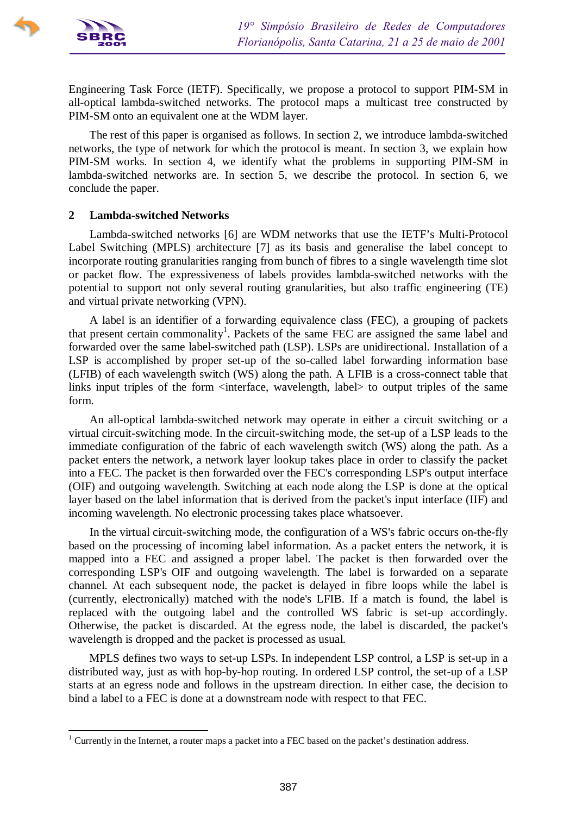

Engineering Task Force (IETF). Specifically, we propose a protocol to support PIM-SM in all-optical lambda-switched networks. The protocol maps a multicast tree constructed by PIM-SM onto an equivalent one at the WDM layer.

The rest of this paper is organised as follows. In section 2, we introduce lambda-switched networks, the type of network for which the protocol is meant. In section 3, we explain how PIM-SM works. In section 4, we identify what the problems in supporting PIM-SM in lambda-switched networks are. In section 5, we describe the protocol. In section 6, we conclude the paper.

## **2 Lambda-switched Networks**

Lambda-switched networks [6] are WDM networks that use the IETF's Multi-Protocol Label Switching (MPLS) architecture [7] as its basis and generalise the label concept to incorporate routing granularities ranging from bunch of fibres to a single wavelength time slot or packet flow. The expressiveness of labels provides lambda-switched networks with the potential to support not only several routing granularities, but also traffic engineering (TE) and virtual private networking (VPN).

A label is an identifier of a forwarding equivalence class (FEC), a grouping of packets that present certain commonality<sup>1</sup>. Packets of the same FEC are assigned the same label and forwarded over the same label-switched path (LSP). LSPs are unidirectional. Installation of a LSP is accomplished by proper set-up of the so-called label forwarding information base (LFIB) of each wavelength switch (WS) along the path. A LFIB is a cross-connect table that links input triples of the form  $\langle$  interface, wavelength, label $\rangle$  to output triples of the same form.

An all-optical lambda-switched network may operate in either a circuit switching or a virtual circuit-switching mode. In the circuit-switching mode, the set-up of a LSP leads to the immediate configuration of the fabric of each wavelength switch (WS) along the path. As a packet enters the network, a network layer lookup takes place in order to classify the packet into a FEC. The packet is then forwarded over the FEC's corresponding LSP's output interface (OIF) and outgoing wavelength. Switching at each node along the LSP is done at the optical layer based on the label information that is derived from the packet's input interface (IIF) and incoming wavelength. No electronic processing takes place whatsoever.

In the virtual circuit-switching mode, the configuration of a WS's fabric occurs on-the-fly based on the processing of incoming label information. As a packet enters the network, it is mapped into a FEC and assigned a proper label. The packet is then forwarded over the corresponding LSP's OIF and outgoing wavelength. The label is forwarded on a separate channel. At each subsequent node, the packet is delayed in fibre loops while the label is (currently, electronically) matched with the node's LFIB. If a match is found, the label is replaced with the outgoing label and the controlled WS fabric is set-up accordingly. Otherwise, the packet is discarded. At the egress node, the label is discarded, the packet's wavelength is dropped and the packet is processed as usual.

MPLS defines two ways to set-up LSPs. In independent LSP control, a LSP is set-up in a distributed way, just as with hop-by-hop routing. In ordered LSP control, the set-up of a LSP starts at an egress node and follows in the upstream direction. In either case, the decision to bind a label to a FEC is done at a downstream node with respect to that FEC.

<sup>&</sup>lt;sup>1</sup> Currently in the Internet, a router maps a packet into a FEC based on the packet's destination address.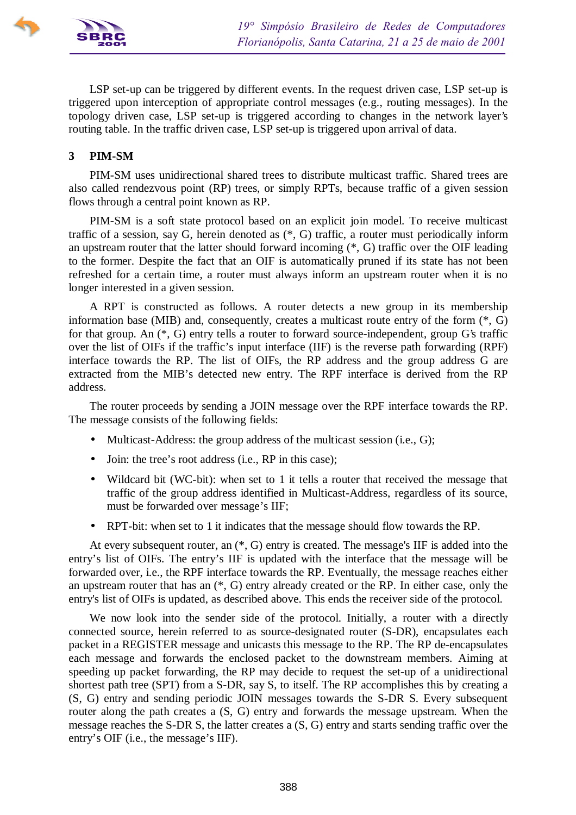

LSP set-up can be triggered by different events. In the request driven case, LSP set-up is triggered upon interception of appropriate control messages (e.g., routing messages). In the topology driven case, LSP set-up is triggered according to changes in the network layer's routing table. In the traffic driven case, LSP set-up is triggered upon arrival of data.

# **3 PIM-SM**

PIM-SM uses unidirectional shared trees to distribute multicast traffic. Shared trees are also called rendezvous point (RP) trees, or simply RPTs, because traffic of a given session flows through a central point known as RP.

PIM-SM is a soft state protocol based on an explicit join model. To receive multicast traffic of a session, say G, herein denoted as (\*, G) traffic, a router must periodically inform an upstream router that the latter should forward incoming (\*, G) traffic over the OIF leading to the former. Despite the fact that an OIF is automatically pruned if its state has not been refreshed for a certain time, a router must always inform an upstream router when it is no longer interested in a given session.

A RPT is constructed as follows. A router detects a new group in its membership information base (MIB) and, consequently, creates a multicast route entry of the form (\*, G) for that group. An (\*, G) entry tells a router to forward source-independent, group G's traffic over the list of OIFs if the traffic's input interface (IIF) is the reverse path forwarding (RPF) interface towards the RP. The list of OIFs, the RP address and the group address G are extracted from the MIB's detected new entry. The RPF interface is derived from the RP address.

The router proceeds by sending a JOIN message over the RPF interface towards the RP. The message consists of the following fields:

- Multicast-Address: the group address of the multicast session (i.e., G);
- Join: the tree's root address (i.e., RP in this case);
- Wildcard bit (WC-bit): when set to 1 it tells a router that received the message that traffic of the group address identified in Multicast-Address, regardless of its source, must be forwarded over message's IIF;
- RPT-bit: when set to 1 it indicates that the message should flow towards the RP.

At every subsequent router, an (\*, G) entry is created. The message's IIF is added into the entry's list of OIFs. The entry's IIF is updated with the interface that the message will be forwarded over, i.e., the RPF interface towards the RP. Eventually, the message reaches either an upstream router that has an (\*, G) entry already created or the RP. In either case, only the entry's list of OIFs is updated, as described above. This ends the receiver side of the protocol.

We now look into the sender side of the protocol. Initially, a router with a directly connected source, herein referred to as source-designated router (S-DR), encapsulates each packet in a REGISTER message and unicasts this message to the RP. The RP de-encapsulates each message and forwards the enclosed packet to the downstream members. Aiming at speeding up packet forwarding, the RP may decide to request the set-up of a unidirectional shortest path tree (SPT) from a S-DR, say S, to itself. The RP accomplishes this by creating a (S, G) entry and sending periodic JOIN messages towards the S-DR S. Every subsequent router along the path creates a (S, G) entry and forwards the message upstream. When the message reaches the S-DR S, the latter creates a (S, G) entry and starts sending traffic over the entry's OIF (i.e., the message's IIF).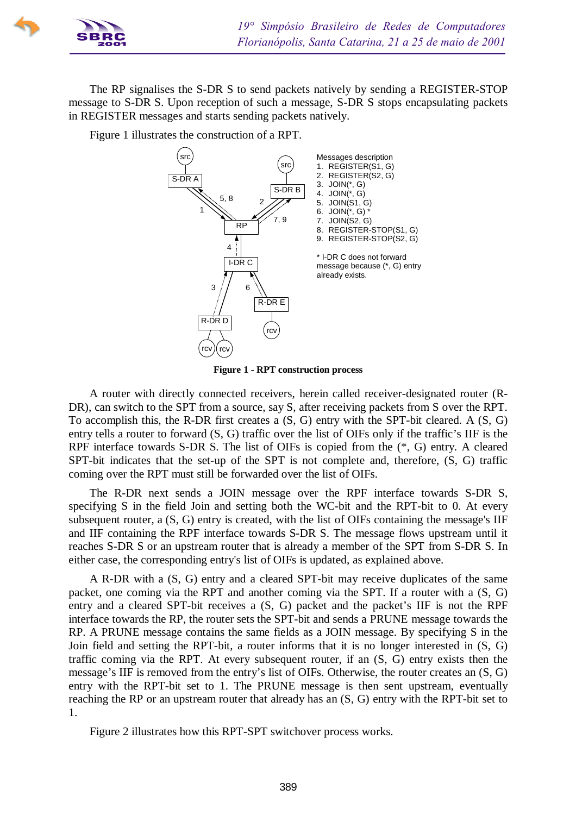

The RP signalises the S-DR S to send packets natively by sending a REGISTER-STOP message to S-DR S. Upon reception of such a message, S-DR S stops encapsulating packets in REGISTER messages and starts sending packets natively.

Figure 1 illustrates the construction of a RPT.



**Figure 1 - RPT construction process**

A router with directly connected receivers, herein called receiver-designated router (R-DR), can switch to the SPT from a source, say S, after receiving packets from S over the RPT. To accomplish this, the R-DR first creates a (S, G) entry with the SPT-bit cleared. A (S, G) entry tells a router to forward (S, G) traffic over the list of OIFs only if the traffic's IIF is the RPF interface towards S-DR S. The list of OIFs is copied from the (\*, G) entry. A cleared SPT-bit indicates that the set-up of the SPT is not complete and, therefore, (S, G) traffic coming over the RPT must still be forwarded over the list of OIFs.

The R-DR next sends a JOIN message over the RPF interface towards S-DR S, specifying S in the field Join and setting both the WC-bit and the RPT-bit to 0. At every subsequent router, a (S, G) entry is created, with the list of OIFs containing the message's IIF and IIF containing the RPF interface towards S-DR S. The message flows upstream until it reaches S-DR S or an upstream router that is already a member of the SPT from S-DR S. In either case, the corresponding entry's list of OIFs is updated, as explained above.

A R-DR with a (S, G) entry and a cleared SPT-bit may receive duplicates of the same packet, one coming via the RPT and another coming via the SPT. If a router with a (S, G) entry and a cleared SPT-bit receives a (S, G) packet and the packet's IIF is not the RPF interface towards the RP, the router sets the SPT-bit and sends a PRUNE message towards the RP. A PRUNE message contains the same fields as a JOIN message. By specifying S in the Join field and setting the RPT-bit, a router informs that it is no longer interested in (S, G) traffic coming via the RPT. At every subsequent router, if an (S, G) entry exists then the message's IIF is removed from the entry's list of OIFs. Otherwise, the router creates an (S, G) entry with the RPT-bit set to 1. The PRUNE message is then sent upstream, eventually reaching the RP or an upstream router that already has an (S, G) entry with the RPT-bit set to 1.

Figure 2 illustrates how this RPT-SPT switchover process works.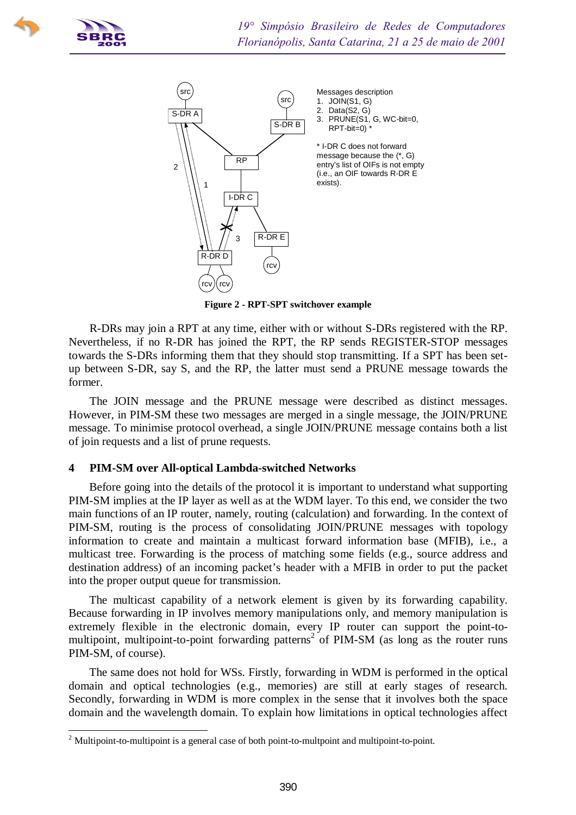

 $\overline{a}$ 



**Figure 2 - RPT-SPT switchover example**

R-DRs may join a RPT at any time, either with or without S-DRs registered with the RP. Nevertheless, if no R-DR has joined the RPT, the RP sends REGISTER-STOP messages towards the S-DRs informing them that they should stop transmitting. If a SPT has been setup between S-DR, say S, and the RP, the latter must send a PRUNE message towards the former.

The JOIN message and the PRUNE message were described as distinct messages. However, in PIM-SM these two messages are merged in a single message, the JOIN/PRUNE message. To minimise protocol overhead, a single JOIN/PRUNE message contains both a list of join requests and a list of prune requests.

# **4 PIM-SM over All-optical Lambda-switched Networks**

Before going into the details of the protocol it is important to understand what supporting PIM-SM implies at the IP layer as well as at the WDM layer. To this end, we consider the two main functions of an IP router, namely, routing (calculation) and forwarding. In the context of PIM-SM, routing is the process of consolidating JOIN/PRUNE messages with topology information to create and maintain a multicast forward information base (MFIB), i.e., a multicast tree. Forwarding is the process of matching some fields (e.g., source address and destination address) of an incoming packet's header with a MFIB in order to put the packet into the proper output queue for transmission.

The multicast capability of a network element is given by its forwarding capability. Because forwarding in IP involves memory manipulations only, and memory manipulation is extremely flexible in the electronic domain, every IP router can support the point-tomultipoint, multipoint-to-point forwarding patterns<sup>2</sup> of PIM-SM (as long as the router runs PIM-SM, of course).

The same does not hold for WSs. Firstly, forwarding in WDM is performed in the optical domain and optical technologies (e.g., memories) are still at early stages of research. Secondly, forwarding in WDM is more complex in the sense that it involves both the space domain and the wavelength domain. To explain how limitations in optical technologies affect

 $2$  Multipoint-to-multipoint is a general case of both point-to-multpoint and multipoint-to-point.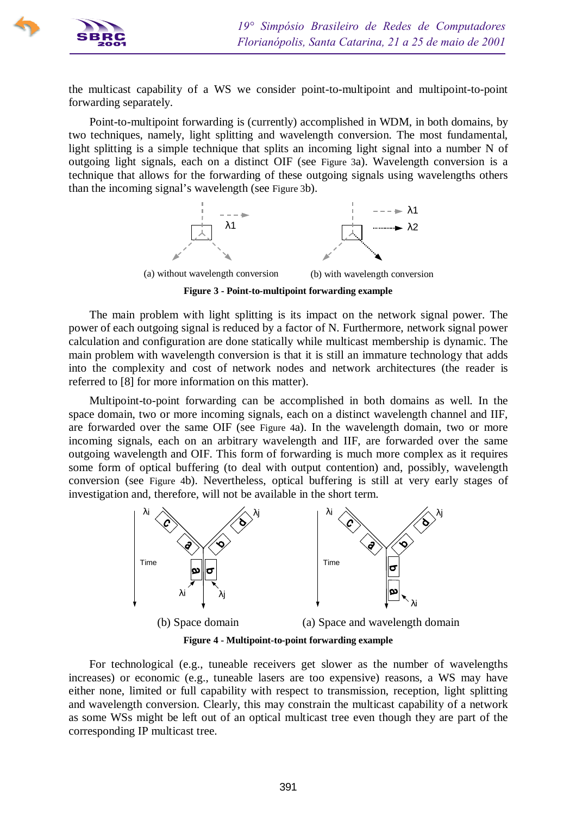

the multicast capability of a WS we consider point-to-multipoint and multipoint-to-point forwarding separately.

Point-to-multipoint forwarding is (currently) accomplished in WDM, in both domains, by two techniques, namely, light splitting and wavelength conversion. The most fundamental, light splitting is a simple technique that splits an incoming light signal into a number N of outgoing light signals, each on a distinct OIF (see Figure 3a). Wavelength conversion is a technique that allows for the forwarding of these outgoing signals using wavelengths others than the incoming signal's wavelength (see Figure 3b).



**Figure 3 - Point-to-multipoint forwarding example**

The main problem with light splitting is its impact on the network signal power. The power of each outgoing signal is reduced by a factor of N. Furthermore, network signal power calculation and configuration are done statically while multicast membership is dynamic. The main problem with wavelength conversion is that it is still an immature technology that adds into the complexity and cost of network nodes and network architectures (the reader is referred to [8] for more information on this matter).

Multipoint-to-point forwarding can be accomplished in both domains as well. In the space domain, two or more incoming signals, each on a distinct wavelength channel and IIF, are forwarded over the same OIF (see Figure 4a). In the wavelength domain, two or more incoming signals, each on an arbitrary wavelength and IIF, are forwarded over the same outgoing wavelength and OIF. This form of forwarding is much more complex as it requires some form of optical buffering (to deal with output contention) and, possibly, wavelength conversion (see Figure 4b). Nevertheless, optical buffering is still at very early stages of investigation and, therefore, will not be available in the short term.



**Figure 4 - Multipoint-to-point forwarding example**

For technological (e.g., tuneable receivers get slower as the number of wavelengths increases) or economic (e.g., tuneable lasers are too expensive) reasons, a WS may have either none, limited or full capability with respect to transmission, reception, light splitting and wavelength conversion. Clearly, this may constrain the multicast capability of a network as some WSs might be left out of an optical multicast tree even though they are part of the corresponding IP multicast tree.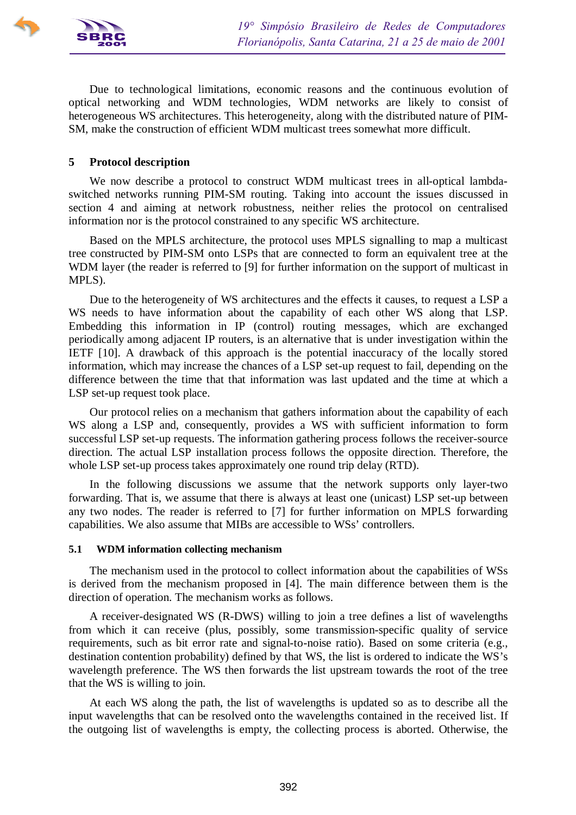

Due to technological limitations, economic reasons and the continuous evolution of optical networking and WDM technologies, WDM networks are likely to consist of heterogeneous WS architectures. This heterogeneity, along with the distributed nature of PIM-SM, make the construction of efficient WDM multicast trees somewhat more difficult.

### **5 Protocol description**

We now describe a protocol to construct WDM multicast trees in all-optical lambdaswitched networks running PIM-SM routing. Taking into account the issues discussed in section 4 and aiming at network robustness, neither relies the protocol on centralised information nor is the protocol constrained to any specific WS architecture.

Based on the MPLS architecture, the protocol uses MPLS signalling to map a multicast tree constructed by PIM-SM onto LSPs that are connected to form an equivalent tree at the WDM layer (the reader is referred to [9] for further information on the support of multicast in MPLS).

Due to the heterogeneity of WS architectures and the effects it causes, to request a LSP a WS needs to have information about the capability of each other WS along that LSP. Embedding this information in IP (control) routing messages, which are exchanged periodically among adjacent IP routers, is an alternative that is under investigation within the IETF [10]. A drawback of this approach is the potential inaccuracy of the locally stored information, which may increase the chances of a LSP set-up request to fail, depending on the difference between the time that that information was last updated and the time at which a LSP set-up request took place.

Our protocol relies on a mechanism that gathers information about the capability of each WS along a LSP and, consequently, provides a WS with sufficient information to form successful LSP set-up requests. The information gathering process follows the receiver-source direction. The actual LSP installation process follows the opposite direction. Therefore, the whole LSP set-up process takes approximately one round trip delay (RTD).

In the following discussions we assume that the network supports only layer-two forwarding. That is, we assume that there is always at least one (unicast) LSP set-up between any two nodes. The reader is referred to [7] for further information on MPLS forwarding capabilities. We also assume that MIBs are accessible to WSs' controllers.

#### **5.1 WDM information collecting mechanism**

The mechanism used in the protocol to collect information about the capabilities of WSs is derived from the mechanism proposed in [4]. The main difference between them is the direction of operation. The mechanism works as follows.

A receiver-designated WS (R-DWS) willing to join a tree defines a list of wavelengths from which it can receive (plus, possibly, some transmission-specific quality of service requirements, such as bit error rate and signal-to-noise ratio). Based on some criteria (e.g., destination contention probability) defined by that WS, the list is ordered to indicate the WS's wavelength preference. The WS then forwards the list upstream towards the root of the tree that the WS is willing to join.

At each WS along the path, the list of wavelengths is updated so as to describe all the input wavelengths that can be resolved onto the wavelengths contained in the received list. If the outgoing list of wavelengths is empty, the collecting process is aborted. Otherwise, the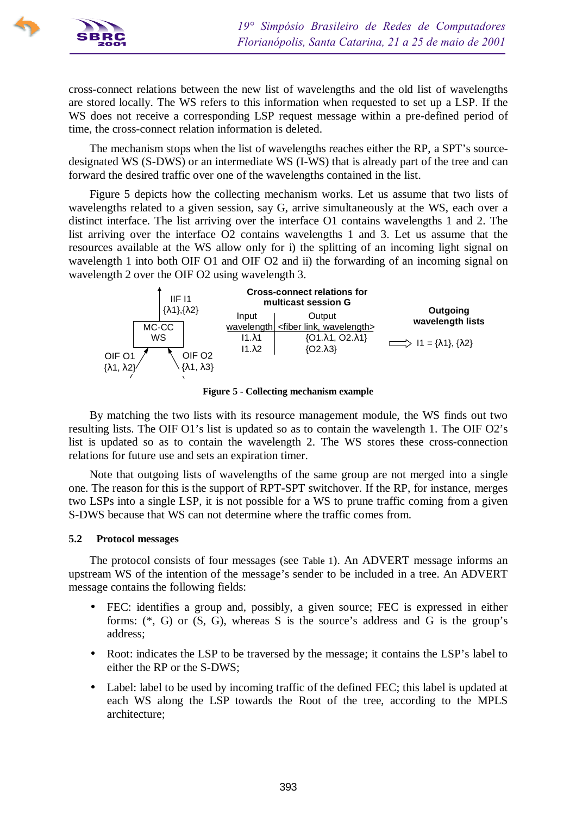

cross-connect relations between the new list of wavelengths and the old list of wavelengths are stored locally. The WS refers to this information when requested to set up a LSP. If the WS does not receive a corresponding LSP request message within a pre-defined period of time, the cross-connect relation information is deleted.

The mechanism stops when the list of wavelengths reaches either the RP, a SPT's sourcedesignated WS (S-DWS) or an intermediate WS (I-WS) that is already part of the tree and can forward the desired traffic over one of the wavelengths contained in the list.

Figure 5 depicts how the collecting mechanism works. Let us assume that two lists of wavelengths related to a given session, say G, arrive simultaneously at the WS, each over a distinct interface. The list arriving over the interface O1 contains wavelengths 1 and 2. The list arriving over the interface O2 contains wavelengths 1 and 3. Let us assume that the resources available at the WS allow only for i) the splitting of an incoming light signal on wavelength 1 into both OIF O1 and OIF O2 and ii) the forwarding of an incoming signal on wavelength 2 over the OIF O2 using wavelength 3.



**Figure 5 - Collecting mechanism example**

By matching the two lists with its resource management module, the WS finds out two resulting lists. The OIF O1's list is updated so as to contain the wavelength 1. The OIF O2's list is updated so as to contain the wavelength 2. The WS stores these cross-connection relations for future use and sets an expiration timer.

Note that outgoing lists of wavelengths of the same group are not merged into a single one. The reason for this is the support of RPT-SPT switchover. If the RP, for instance, merges two LSPs into a single LSP, it is not possible for a WS to prune traffic coming from a given S-DWS because that WS can not determine where the traffic comes from.

### **5.2 Protocol messages**

The protocol consists of four messages (see Table 1). An ADVERT message informs an upstream WS of the intention of the message's sender to be included in a tree. An ADVERT message contains the following fields:

- FEC: identifies a group and, possibly, a given source; FEC is expressed in either forms:  $(*, G)$  or  $(S, G)$ , whereas S is the source's address and G is the group's address;
- Root: indicates the LSP to be traversed by the message; it contains the LSP's label to either the RP or the S-DWS;
- Label: label to be used by incoming traffic of the defined FEC; this label is updated at each WS along the LSP towards the Root of the tree, according to the MPLS architecture;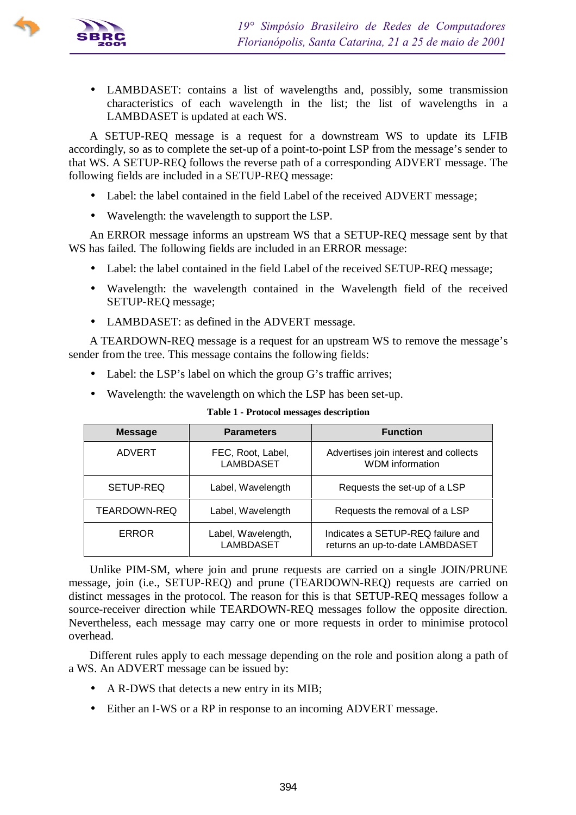

• LAMBDASET: contains a list of wavelengths and, possibly, some transmission characteristics of each wavelength in the list; the list of wavelengths in a LAMBDASET is updated at each WS.

A SETUP-REQ message is a request for a downstream WS to update its LFIB accordingly, so as to complete the set-up of a point-to-point LSP from the message's sender to that WS. A SETUP-REQ follows the reverse path of a corresponding ADVERT message. The following fields are included in a SETUP-REQ message:

- Label: the label contained in the field Label of the received ADVERT message;
- Wavelength: the wavelength to support the LSP.

An ERROR message informs an upstream WS that a SETUP-REQ message sent by that WS has failed. The following fields are included in an ERROR message:

- Label: the label contained in the field Label of the received SETUP-REQ message;
- Wavelength: the wavelength contained in the Wavelength field of the received SETUP-REQ message;
- LAMBDASET: as defined in the ADVERT message.

A TEARDOWN-REQ message is a request for an upstream WS to remove the message's sender from the tree. This message contains the following fields:

- Label: the LSP's label on which the group G's traffic arrives;
- Wavelength: the wavelength on which the LSP has been set-up.

| <b>Message</b>      | <b>Parameters</b>                      | <b>Function</b>                                                      |
|---------------------|----------------------------------------|----------------------------------------------------------------------|
| ADVERT              | FEC, Root, Label,<br><b>LAMBDASET</b>  | Advertises join interest and collects<br><b>WDM</b> information      |
| SETUP-REQ           | Label, Wavelength                      | Requests the set-up of a LSP                                         |
| <b>TEARDOWN-REQ</b> | Label, Wavelength                      | Requests the removal of a LSP                                        |
| <b>ERROR</b>        | Label, Wavelength,<br><b>LAMBDASET</b> | Indicates a SETUP-REQ failure and<br>returns an up-to-date LAMBDASET |

#### **Table 1 - Protocol messages description**

Unlike PIM-SM, where join and prune requests are carried on a single JOIN/PRUNE message, join (i.e., SETUP-REQ) and prune (TEARDOWN-REQ) requests are carried on distinct messages in the protocol. The reason for this is that SETUP-REQ messages follow a source-receiver direction while TEARDOWN-REQ messages follow the opposite direction. Nevertheless, each message may carry one or more requests in order to minimise protocol overhead.

Different rules apply to each message depending on the role and position along a path of a WS. An ADVERT message can be issued by:

- A R-DWS that detects a new entry in its MIB;
- Either an I-WS or a RP in response to an incoming ADVERT message.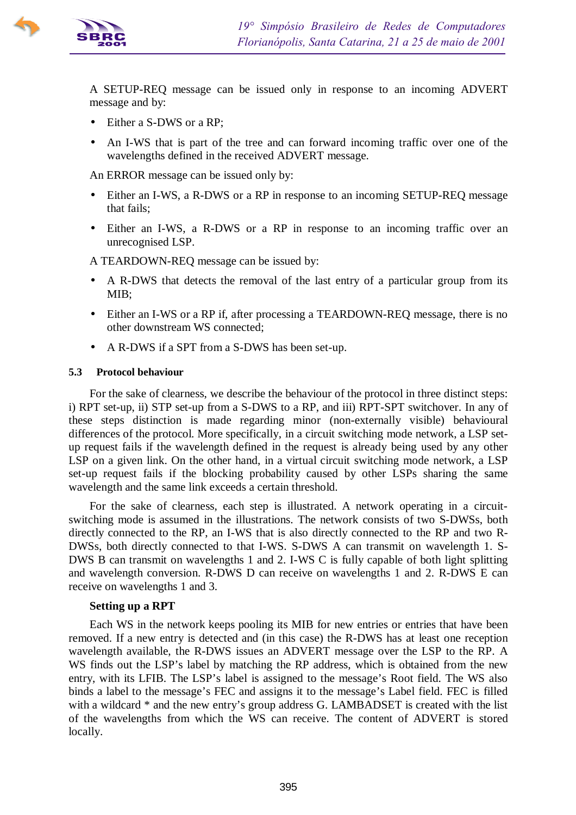

A SETUP-REQ message can be issued only in response to an incoming ADVERT message and by:

- Either a S-DWS or a RP;
- An I-WS that is part of the tree and can forward incoming traffic over one of the wavelengths defined in the received ADVERT message.

An ERROR message can be issued only by:

- Either an I-WS, a R-DWS or a RP in response to an incoming SETUP-REQ message that fails;
- Either an I-WS, a R-DWS or a RP in response to an incoming traffic over an unrecognised LSP.

A TEARDOWN-REQ message can be issued by:

- A R-DWS that detects the removal of the last entry of a particular group from its MIB;
- Either an I-WS or a RP if, after processing a TEARDOWN-REQ message, there is no other downstream WS connected;
- A R-DWS if a SPT from a S-DWS has been set-up.

#### **5.3 Protocol behaviour**

For the sake of clearness, we describe the behaviour of the protocol in three distinct steps: i) RPT set-up, ii) STP set-up from a S-DWS to a RP, and iii) RPT-SPT switchover. In any of these steps distinction is made regarding minor (non-externally visible) behavioural differences of the protocol. More specifically, in a circuit switching mode network, a LSP setup request fails if the wavelength defined in the request is already being used by any other LSP on a given link. On the other hand, in a virtual circuit switching mode network, a LSP set-up request fails if the blocking probability caused by other LSPs sharing the same wavelength and the same link exceeds a certain threshold.

For the sake of clearness, each step is illustrated. A network operating in a circuitswitching mode is assumed in the illustrations. The network consists of two S-DWSs, both directly connected to the RP, an I-WS that is also directly connected to the RP and two R-DWSs, both directly connected to that I-WS. S-DWS A can transmit on wavelength 1. S-DWS B can transmit on wavelengths 1 and 2. I-WS C is fully capable of both light splitting and wavelength conversion. R-DWS D can receive on wavelengths 1 and 2. R-DWS E can receive on wavelengths 1 and 3.

#### **Setting up a RPT**

Each WS in the network keeps pooling its MIB for new entries or entries that have been removed. If a new entry is detected and (in this case) the R-DWS has at least one reception wavelength available, the R-DWS issues an ADVERT message over the LSP to the RP. A WS finds out the LSP's label by matching the RP address, which is obtained from the new entry, with its LFIB. The LSP's label is assigned to the message's Root field. The WS also binds a label to the message's FEC and assigns it to the message's Label field. FEC is filled with a wildcard  $*$  and the new entry's group address G. LAMBADSET is created with the list of the wavelengths from which the WS can receive. The content of ADVERT is stored locally.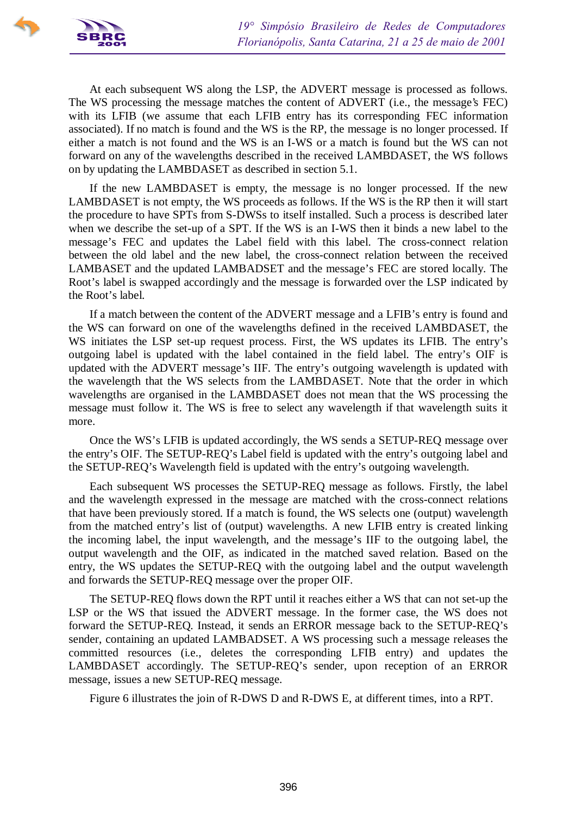

At each subsequent WS along the LSP, the ADVERT message is processed as follows. The WS processing the message matches the content of ADVERT (i.e., the message's FEC) with its LFIB (we assume that each LFIB entry has its corresponding FEC information associated). If no match is found and the WS is the RP, the message is no longer processed. If either a match is not found and the WS is an I-WS or a match is found but the WS can not forward on any of the wavelengths described in the received LAMBDASET, the WS follows on by updating the LAMBDASET as described in section 5.1.

If the new LAMBDASET is empty, the message is no longer processed. If the new LAMBDASET is not empty, the WS proceeds as follows. If the WS is the RP then it will start the procedure to have SPTs from S-DWSs to itself installed. Such a process is described later when we describe the set-up of a SPT. If the WS is an I-WS then it binds a new label to the message's FEC and updates the Label field with this label. The cross-connect relation between the old label and the new label, the cross-connect relation between the received LAMBASET and the updated LAMBADSET and the message's FEC are stored locally. The Root's label is swapped accordingly and the message is forwarded over the LSP indicated by the Root's label.

If a match between the content of the ADVERT message and a LFIB's entry is found and the WS can forward on one of the wavelengths defined in the received LAMBDASET, the WS initiates the LSP set-up request process. First, the WS updates its LFIB. The entry's outgoing label is updated with the label contained in the field label. The entry's OIF is updated with the ADVERT message's IIF. The entry's outgoing wavelength is updated with the wavelength that the WS selects from the LAMBDASET. Note that the order in which wavelengths are organised in the LAMBDASET does not mean that the WS processing the message must follow it. The WS is free to select any wavelength if that wavelength suits it more.

Once the WS's LFIB is updated accordingly, the WS sends a SETUP-REQ message over the entry's OIF. The SETUP-REQ's Label field is updated with the entry's outgoing label and the SETUP-REQ's Wavelength field is updated with the entry's outgoing wavelength.

Each subsequent WS processes the SETUP-REQ message as follows. Firstly, the label and the wavelength expressed in the message are matched with the cross-connect relations that have been previously stored. If a match is found, the WS selects one (output) wavelength from the matched entry's list of (output) wavelengths. A new LFIB entry is created linking the incoming label, the input wavelength, and the message's IIF to the outgoing label, the output wavelength and the OIF, as indicated in the matched saved relation. Based on the entry, the WS updates the SETUP-REQ with the outgoing label and the output wavelength and forwards the SETUP-REQ message over the proper OIF.

The SETUP-REQ flows down the RPT until it reaches either a WS that can not set-up the LSP or the WS that issued the ADVERT message. In the former case, the WS does not forward the SETUP-REQ. Instead, it sends an ERROR message back to the SETUP-REQ's sender, containing an updated LAMBADSET. A WS processing such a message releases the committed resources (i.e., deletes the corresponding LFIB entry) and updates the LAMBDASET accordingly. The SETUP-REQ's sender, upon reception of an ERROR message, issues a new SETUP-REQ message.

Figure 6 illustrates the join of R-DWS D and R-DWS E, at different times, into a RPT.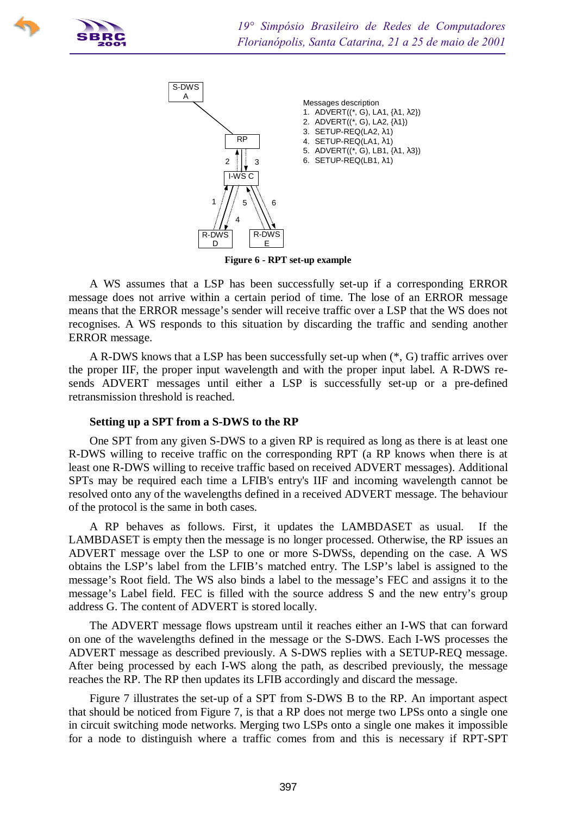



**Figure 6 - RPT set-up example**

A WS assumes that a LSP has been successfully set-up if a corresponding ERROR message does not arrive within a certain period of time. The lose of an ERROR message means that the ERROR message's sender will receive traffic over a LSP that the WS does not recognises. A WS responds to this situation by discarding the traffic and sending another ERROR message.

A R-DWS knows that a LSP has been successfully set-up when (\*, G) traffic arrives over the proper IIF, the proper input wavelength and with the proper input label. A R-DWS resends ADVERT messages until either a LSP is successfully set-up or a pre-defined retransmission threshold is reached.

### **Setting up a SPT from a S-DWS to the RP**

One SPT from any given S-DWS to a given RP is required as long as there is at least one R-DWS willing to receive traffic on the corresponding RPT (a RP knows when there is at least one R-DWS willing to receive traffic based on received ADVERT messages). Additional SPTs may be required each time a LFIB's entry's IIF and incoming wavelength cannot be resolved onto any of the wavelengths defined in a received ADVERT message. The behaviour of the protocol is the same in both cases.

A RP behaves as follows. First, it updates the LAMBDASET as usual. If the LAMBDASET is empty then the message is no longer processed. Otherwise, the RP issues an ADVERT message over the LSP to one or more S-DWSs, depending on the case. A WS obtains the LSP's label from the LFIB's matched entry. The LSP's label is assigned to the message's Root field. The WS also binds a label to the message's FEC and assigns it to the message's Label field. FEC is filled with the source address S and the new entry's group address G. The content of ADVERT is stored locally.

The ADVERT message flows upstream until it reaches either an I-WS that can forward on one of the wavelengths defined in the message or the S-DWS. Each I-WS processes the ADVERT message as described previously. A S-DWS replies with a SETUP-REQ message. After being processed by each I-WS along the path, as described previously, the message reaches the RP. The RP then updates its LFIB accordingly and discard the message.

Figure 7 illustrates the set-up of a SPT from S-DWS B to the RP. An important aspect that should be noticed from Figure 7, is that a RP does not merge two LPSs onto a single one in circuit switching mode networks. Merging two LSPs onto a single one makes it impossible for a node to distinguish where a traffic comes from and this is necessary if RPT-SPT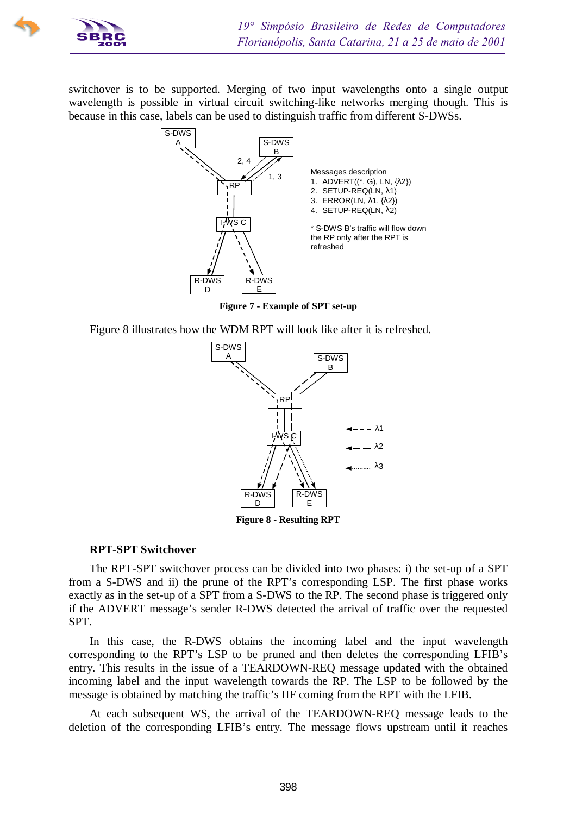

switchover is to be supported. Merging of two input wavelengths onto a single output wavelength is possible in virtual circuit switching-like networks merging though. This is because in this case, labels can be used to distinguish traffic from different S-DWSs.



**Figure 7 - Example of SPT set-up**

Figure 8 illustrates how the WDM RPT will look like after it is refreshed.



**Figure 8 - Resulting RPT**

### **RPT-SPT Switchover**

The RPT-SPT switchover process can be divided into two phases: i) the set-up of a SPT from a S-DWS and ii) the prune of the RPT's corresponding LSP. The first phase works exactly as in the set-up of a SPT from a S-DWS to the RP. The second phase is triggered only if the ADVERT message's sender R-DWS detected the arrival of traffic over the requested SPT.

In this case, the R-DWS obtains the incoming label and the input wavelength corresponding to the RPT's LSP to be pruned and then deletes the corresponding LFIB's entry. This results in the issue of a TEARDOWN-REQ message updated with the obtained incoming label and the input wavelength towards the RP. The LSP to be followed by the message is obtained by matching the traffic's IIF coming from the RPT with the LFIB.

At each subsequent WS, the arrival of the TEARDOWN-REQ message leads to the deletion of the corresponding LFIB's entry. The message flows upstream until it reaches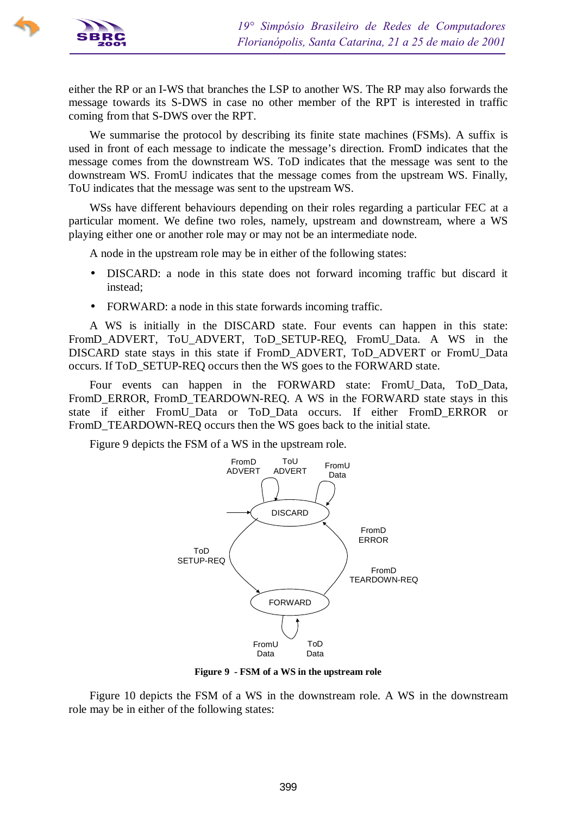

either the RP or an I-WS that branches the LSP to another WS. The RP may also forwards the message towards its S-DWS in case no other member of the RPT is interested in traffic coming from that S-DWS over the RPT.

We summarise the protocol by describing its finite state machines (FSMs). A suffix is used in front of each message to indicate the message's direction. FromD indicates that the message comes from the downstream WS. ToD indicates that the message was sent to the downstream WS. FromU indicates that the message comes from the upstream WS. Finally, ToU indicates that the message was sent to the upstream WS.

WSs have different behaviours depending on their roles regarding a particular FEC at a particular moment. We define two roles, namely, upstream and downstream, where a WS playing either one or another role may or may not be an intermediate node.

A node in the upstream role may be in either of the following states:

- DISCARD: a node in this state does not forward incoming traffic but discard it instead;
- FORWARD: a node in this state forwards incoming traffic.

A WS is initially in the DISCARD state. Four events can happen in this state: FromD\_ADVERT, ToU\_ADVERT, ToD\_SETUP-REQ, FromU\_Data. A WS in the DISCARD state stays in this state if FromD\_ADVERT, ToD\_ADVERT or FromU\_Data occurs. If ToD\_SETUP-REQ occurs then the WS goes to the FORWARD state.

Four events can happen in the FORWARD state: FromU\_Data, ToD\_Data, FromD\_ERROR, FromD\_TEARDOWN-REQ. A WS in the FORWARD state stays in this state if either FromU\_Data or ToD\_Data occurs. If either FromD\_ERROR or FromD\_TEARDOWN-REQ occurs then the WS goes back to the initial state.

Figure 9 depicts the FSM of a WS in the upstream role.



**Figure 9 - FSM of a WS in the upstream role**

Figure 10 depicts the FSM of a WS in the downstream role. A WS in the downstream role may be in either of the following states: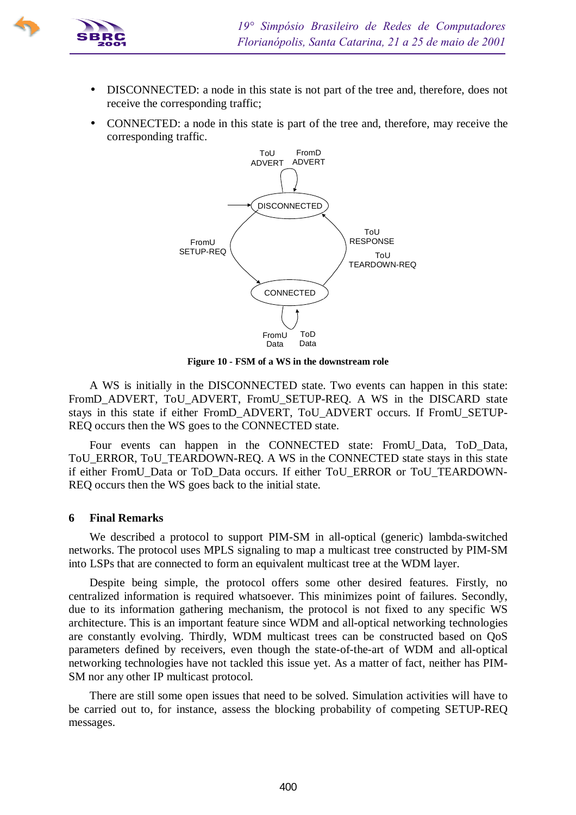

- DISCONNECTED: a node in this state is not part of the tree and, therefore, does not receive the corresponding traffic;
- CONNECTED: a node in this state is part of the tree and, therefore, may receive the corresponding traffic.



**Figure 10 - FSM of a WS in the downstream role**

A WS is initially in the DISCONNECTED state. Two events can happen in this state: FromD\_ADVERT, ToU\_ADVERT, FromU\_SETUP-REQ. A WS in the DISCARD state stays in this state if either FromD\_ADVERT, ToU\_ADVERT occurs. If FromU\_SETUP-REQ occurs then the WS goes to the CONNECTED state.

Four events can happen in the CONNECTED state: FromU\_Data, ToD\_Data, ToU\_ERROR, ToU\_TEARDOWN-REQ. A WS in the CONNECTED state stays in this state if either FromU\_Data or ToD\_Data occurs. If either ToU\_ERROR or ToU\_TEARDOWN-REQ occurs then the WS goes back to the initial state.

### **6 Final Remarks**

We described a protocol to support PIM-SM in all-optical (generic) lambda-switched networks. The protocol uses MPLS signaling to map a multicast tree constructed by PIM-SM into LSPs that are connected to form an equivalent multicast tree at the WDM layer.

Despite being simple, the protocol offers some other desired features. Firstly, no centralized information is required whatsoever. This minimizes point of failures. Secondly, due to its information gathering mechanism, the protocol is not fixed to any specific WS architecture. This is an important feature since WDM and all-optical networking technologies are constantly evolving. Thirdly, WDM multicast trees can be constructed based on QoS parameters defined by receivers, even though the state-of-the-art of WDM and all-optical networking technologies have not tackled this issue yet. As a matter of fact, neither has PIM-SM nor any other IP multicast protocol.

There are still some open issues that need to be solved. Simulation activities will have to be carried out to, for instance, assess the blocking probability of competing SETUP-REQ messages.